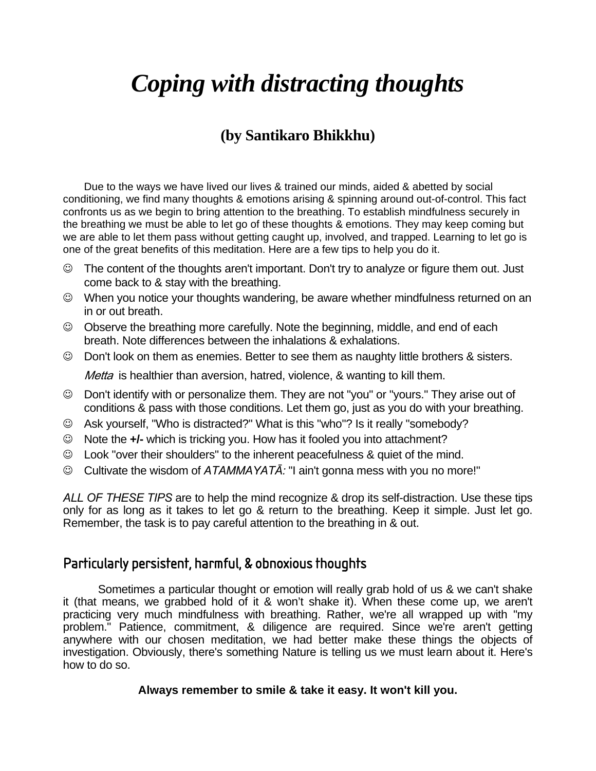# *Coping with distracting thoughts*

### **(by Santikaro Bhikkhu)**

Due to the ways we have lived our lives & trained our minds, aided & abetted by social conditioning, we find many thoughts & emotions arising & spinning around out-of-control. This fact confronts us as we begin to bring attention to the breathing. To establish mindfulness securely in the breathing we must be able to let go of these thoughts & emotions. They may keep coming but we are able to let them pass without getting caught up, involved, and trapped. Learning to let go is one of the great benefits of this meditation. Here are a few tips to help you do it.

- ☺ The content of the thoughts aren't important. Don't try to analyze or figure them out. Just come back to & stay with the breathing.
- ☺ When you notice your thoughts wandering, be aware whether mindfulness returned on an in or out breath.
- ☺ Observe the breathing more carefully. Note the beginning, middle, and end of each breath. Note differences between the inhalations & exhalations.
- ☺ Don't look on them as enemies. Better to see them as naughty little brothers & sisters.

Metta is healthier than aversion, hatred, violence, & wanting to kill them.

- ☺ Don't identify with or personalize them. They are not "you" or "yours." They arise out of conditions & pass with those conditions. Let them go, just as you do with your breathing.
- ☺ Ask yourself, "Who is distracted?" What is this "who"? Is it really "somebody?
- ☺ Note the **+/-** which is tricking you. How has it fooled you into attachment?
- ☺ Look "over their shoulders" to the inherent peacefulness & quiet of the mind.
- ☺ Cultivate the wisdom of *ATAMMAYATĀ:* "I ain't gonna mess with you no more!"

*ALL OF THESE TIPS* are to help the mind recognize & drop its self-distraction. Use these tips only for as long as it takes to let go & return to the breathing. Keep it simple. Just let go. Remember, the task is to pay careful attention to the breathing in & out.

#### Particularly persistent, harmful, & obnoxious thoughts

 Sometimes a particular thought or emotion will really grab hold of us & we can't shake it (that means, we grabbed hold of it & won't shake it). When these come up, we aren't practicing very much mindfulness with breathing. Rather, we're all wrapped up with "my problem." Patience, commitment, & diligence are required. Since we're aren't getting anywhere with our chosen meditation, we had better make these things the objects of investigation. Obviously, there's something Nature is telling us we must learn about it. Here's how to do so.

#### **Always remember to smile & take it easy. It won't kill you.**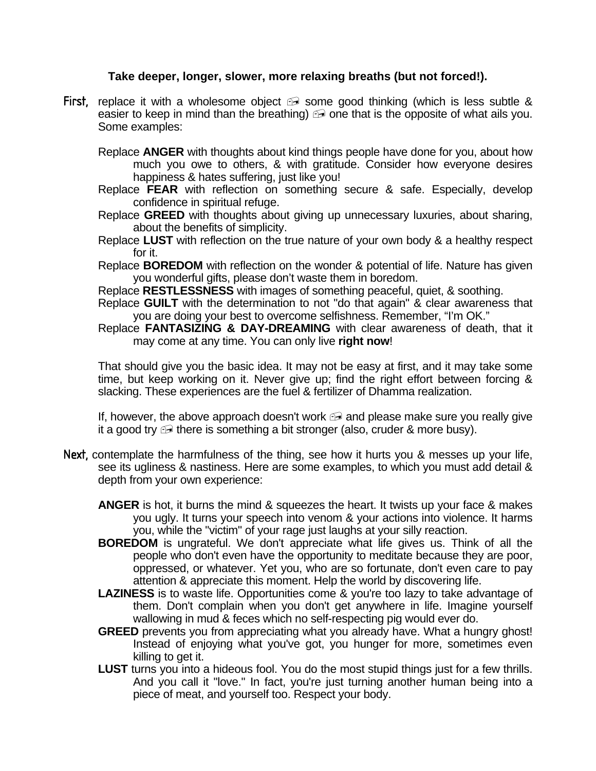#### **Take deeper, longer, slower, more relaxing breaths (but not forced!).**

First, replace it with a wholesome object  $\oplus$  some good thinking (which is less subtle & easier to keep in mind than the breathing)  $\oplus$  one that is the opposite of what ails you. Some examples:

 Replace **ANGER** with thoughts about kind things people have done for you, about how much you owe to others, & with gratitude. Consider how everyone desires happiness & hates suffering, just like you!

- Replace **FEAR** with reflection on something secure & safe. Especially, develop confidence in spiritual refuge.
- Replace **GREED** with thoughts about giving up unnecessary luxuries, about sharing, about the benefits of simplicity.
- Replace **LUST** with reflection on the true nature of your own body & a healthy respect for it.
- Replace **BOREDOM** with reflection on the wonder & potential of life. Nature has given you wonderful gifts, please don't waste them in boredom.

Replace **RESTLESSNESS** with images of something peaceful, quiet, & soothing.

- Replace **GUILT** with the determination to not "do that again" & clear awareness that you are doing your best to overcome selfishness. Remember, "I'm OK."
- Replace **FANTASIZING & DAY-DREAMING** with clear awareness of death, that it may come at any time. You can only live **right now**!

 That should give you the basic idea. It may not be easy at first, and it may take some time, but keep working on it. Never give up; find the right effort between forcing & slacking. These experiences are the fuel & fertilizer of Dhamma realization.

If, however, the above approach doesn't work  $\oplus$  and please make sure you really give it a good try  $\oplus$  there is something a bit stronger (also, cruder & more busy).

- Next, contemplate the harmfulness of the thing, see how it hurts you & messes up your life, see its ugliness & nastiness. Here are some examples, to which you must add detail & depth from your own experience:
	- **ANGER** is hot, it burns the mind & squeezes the heart. It twists up your face & makes you ugly. It turns your speech into venom & your actions into violence. It harms you, while the "victim" of your rage just laughs at your silly reaction.
	- **BOREDOM** is ungrateful. We don't appreciate what life gives us. Think of all the people who don't even have the opportunity to meditate because they are poor, oppressed, or whatever. Yet you, who are so fortunate, don't even care to pay attention & appreciate this moment. Help the world by discovering life.
	- **LAZINESS** is to waste life. Opportunities come & you're too lazy to take advantage of them. Don't complain when you don't get anywhere in life. Imagine yourself wallowing in mud & feces which no self-respecting pig would ever do.
	- **GREED** prevents you from appreciating what you already have. What a hungry ghost! Instead of enjoying what you've got, you hunger for more, sometimes even killing to get it.
	- **LUST** turns you into a hideous fool. You do the most stupid things just for a few thrills. And you call it "love." In fact, you're just turning another human being into a piece of meat, and yourself too. Respect your body.